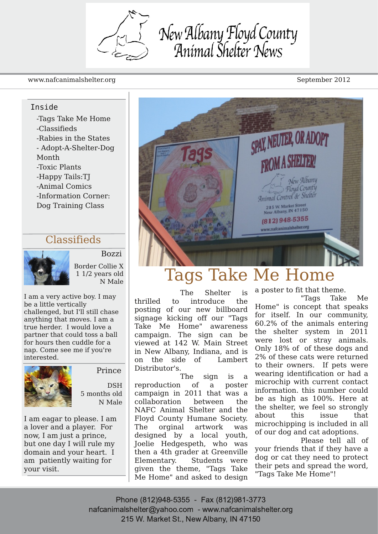New Albany Floyd County<br>Animal Shelter News

#### www.nafcanimalshelter.org September 2012

#### Inside

-Tags Take Me Home -Classifieds -Rabies in the States - Adopt-A-Shelter-Dog Month -Toxic Plants -Happy Tails:TJ -Animal Comics -Information Corner: Dog Training Class

#### Classifieds



Bozzi Border Collie X 1 1/2 years old N Male

I am a very active boy. I may be a little vertically challenged, but I'll still chase anything that moves. I am a true herder. I would love a partner that could toss a ball for hours then cuddle for a nap. Come see me if you're interested.



Prince

DSH 5 months old N Male

I am eagar to please. I am a lover and a player. For now, I am just a prince, but one day I will rule my domain and your heart. I am patiently waiting for your visit.



# Tags Take Me Home

The Shelter is thrilled to introduce the posting of our new billboard signage kicking off our "Tags Take Me Home" awareness campaign. The sign can be viewed at 142 W. Main Street in New Albany, Indiana, and is on the side of Lambert Distributor's.

The sign is a reproduction of a poster campaign in 2011 that was a collaboration between the NAFC Animal Shelter and the Floyd County Humane Society. The orginal artwork was designed by a local youth, Joelie Hedgespeth, who was then a 4th grader at Greenville Elementary. Students were given the theme, "Tags Take Me Home" and asked to design a poster to fit that theme.

"Tags Take Me Home" is concept that speaks for itself. In our community, 60.2% of the animals entering the shelter system in 2011 were lost or stray animals. Only 18% of of these dogs and 2% of these cats were returned to their owners. If pets were wearing identification or had a microchip with current contact information. this number could be as high as 100%. Here at the shelter, we feel so strongly about this issue that microchipping is included in all of our dog and cat adoptions.

Please tell all of your friends that if they have a dog or cat they need to protect their pets and spread the word, "Tags Take Me Home"!

Phone (812)948-5355 - Fax (812)981-3773 nafcanimalshelter@yahoo.com - www.nafcanimalshelter.org 215 W. Market St., New Albany, IN 47150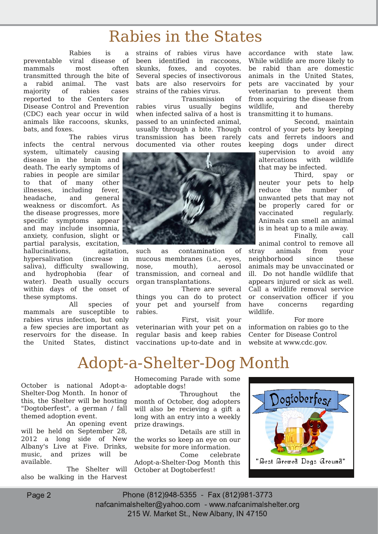## Rabies in the States

Rabies is a preventable viral disease of mammals most often transmitted through the bite of a rabid animal. The vast majority of rabies cases reported to the Centers for Disease Control and Prevention (CDC) each year occur in wild animals like raccoons, skunks, bats, and foxes.

The rabies virus infects the central nervous system, ultimately causing

disease in the brain and death. The early symptoms of rabies in people are similar to that of many other illnesses, including fever, headache, and general weakness or discomfort. As the disease progresses, more specific symptoms appear and may include insomnia, anxiety, confusion, slight or partial paralysis, excitation,

hallucinations, agitation. hypersalivation (increase in saliva), difficulty swallowing, and hydrophobia (fear of water). Death usually occurs within days of the onset of these symptoms.

All species of mammals are susceptible to rabies virus infection, but only a few species are important as reservoirs for the disease. In the United States, distinct

strains of rabies virus have been identified in raccoons, skunks, foxes, and coyotes. Several species of insectivorous bats are also reservoirs for strains of the rabies virus.

Transmission of rabies virus usually begins when infected saliva of a host is passed to an uninfected animal, usually through a bite. Though transmission has been rarely documented via other routes



such as contamination of mucous membranes (i.e., eyes, nose, mouth), aerosol transmission, and corneal and organ transplantations.

There are several things you can do to protect your pet and yourself from rabies.

First, visit your veterinarian with your pet on a regular basis and keep rabies vaccinations up-to-date and in accordance with state law. While wildlife are more likely to be rabid than are domestic animals in the United States, pets are vaccinated by your veterinarian to prevent them from acquiring the disease from wildlife, and thereby transmitting it to humans.

Second, maintain control of your pets by keeping cats and ferrets indoors and keeping dogs under direct

supervision to avoid any altercations with wildlife that may be infected.

Third, spay or neuter your pets to help reduce the number of unwanted pets that may not be properly cared for or vaccinated regularly. Animals can smell an animal is in heat up to a mile away.

Finally, call animal control to remove all stray animals from your neighborhood since these animals may be unvaccinated or ill. Do not handle wildlife that appears injured or sick as well. Call a wildlife removal service or conservation officer if you have concerns regarding wildlife.

For more information on rabies go to the Center for Disease Control website at www.cdc.gov.

# Adopt-a-Shelter-Dog Month

October is national Adopt-a-Shelter-Dog Month. In honor of this, the Shelter will be hosting "Dogtoberfest", a german / fall themed adoption event.

An opening event will be held on September 28, 2012 a long side of New Albany's Live at Five. Drinks, music, and prizes will be available.

The Shelter will also be walking in the Harvest

Homecoming Parade with some adoptable dogs!

Throughout the month of October, dog adopters will also be recieving a gift a long with an entry into a weekly prize drawings.

Details are still in the works so keep an eye on our website for more information.<br>Come celebra

celebrate Adopt-a-Shelter-Dog Month this October at Dogtoberfest!

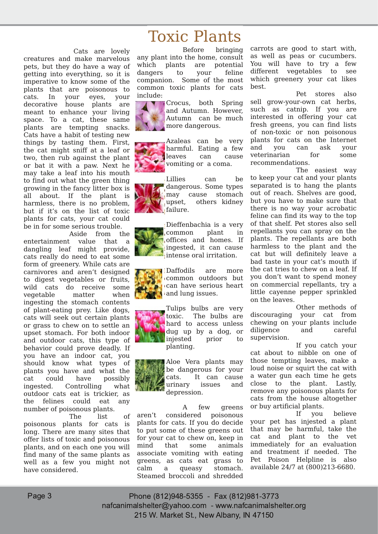Cats are lovely creatures and make marvelous pets, but they do have a way of getting into everything, so it is imperative to know some of the plants that are poisonous to cats. In your eyes, your decorative house plants are meant to enhance your living space. To a cat, these same plants are tempting snacks. Cats have a habit of testing new things by tasting them. First, the cat might sniff at a leaf or two, then rub against the plant or bat it with a paw. Next he may take a leaf into his mouth to find out what the green thing growing in the fancy litter box is all about. If the plant is harmless, there is no problem, but if it's on the list of toxic plants for cats, your cat could be in for some serious trouble.

Aside from the entertainment value that a dangling leaf might provide, cats really do need to eat some form of greenery. While cats are carnivores and aren't designed to digest vegetables or fruits, wild cats do receive some vegetable matter when ingesting the stomach contents of plant-eating prey. Like dogs, cats will seek out certain plants or grass to chew on to settle an upset stomach. For both indoor and outdoor cats, this type of behavior could prove deadly. If you have an indoor cat, you should know what types of plants you have and what the cat could have possibly ingested. Controlling what outdoor cats eat is trickier, as the felines could eat any number of poisonous plants.

The list of poisonous plants for cats is long. There are many sites that offer lists of toxic and poisonous plants, and on each one you will find many of the same plants as well as a few you might not have considered.

# Toxic Plants

Before bringing any plant into the home, consult which plants are potential dangers to your feline companion. Some of the most common toxic plants for cats include:



Crocus, both Spring and Autumn. However, Autumn can be much more dangerous.

Azaleas can be very harmful. Eating a few leaves can cause vomiting or a coma.

Lillies can be dangerous. Some types may cause stomach upset, others kidney failure.

Dieffenbachia is a very common plant in offices and homes. If ingested, it can cause intense oral irritation.



Daffodils are more common outdoors but can have serious heart and lung issues.

Tulips bulbs are very toxic. The bulbs are hard to access unless dug up by a dog, or injested prior to planting.



A few greens aren't considered poisonous plants for cats. If you do decide to put some of these greens out for your cat to chew on, keep in mind that some animals associate vomiting with eating greens, as cats eat grass to calm a queasy stomach. Steamed broccoli and shredded

carrots are good to start with, as well as peas or cucumbers. You will have to try a few different vegetables to see which greenery your cat likes best.

Pet stores also sell grow-your-own cat herbs, such as catnip. If you are interested in offering your cat fresh greens, you can find lists of non-toxic or non poisonous plants for cats on the Internet and you can ask your veterinarian for some recommendations.

The easiest way to keep your cat and your plants separated is to hang the plants out of reach. Shelves are good, but you have to make sure that there is no way your acrobatic feline can find its way to the top of that shelf. Pet stores also sell repellants you can spray on the plants. The repellants are both harmless to the plant and the cat but will definitely leave a bad taste in your cat's mouth if the cat tries to chew on a leaf. If you don't want to spend money on commercial repellants, try a little cayenne pepper sprinkled on the leaves.

Other methods of discouraging your cat from chewing on your plants include diligence and careful supervision.

If you catch your cat about to nibble on one of those tempting leaves, make a loud noise or squirt the cat with a water gun each time he gets close to the plant. Lastly, remove any poisonous plants for cats from the house altogether or buy artificial plants.

If you believe your pet has injested a plant that may be harmful, take the cat and plant to the vet immediately for an evaluation and treatment if needed. The Pet Poison Helpline is also available 24/7 at (800)213-6680.